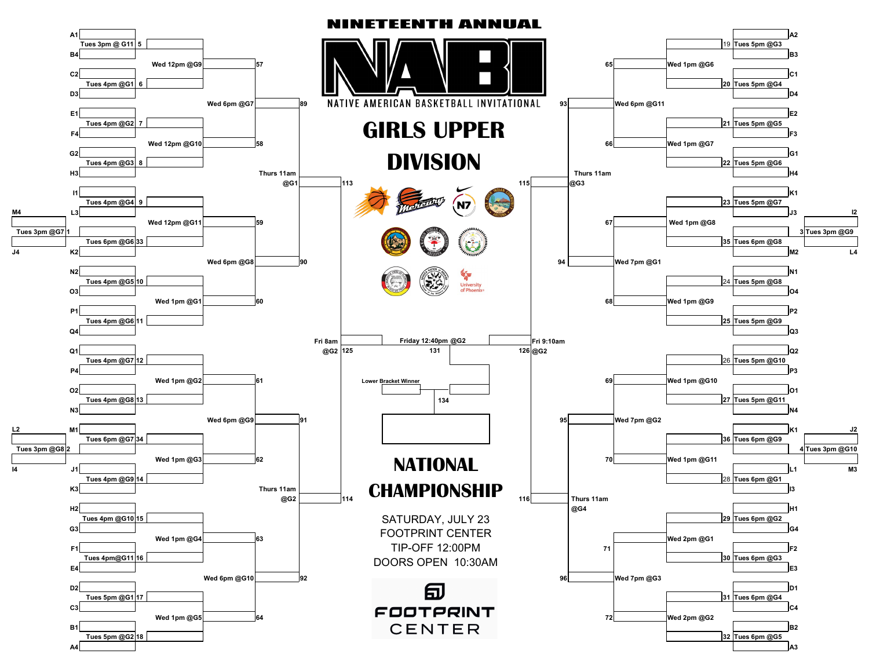